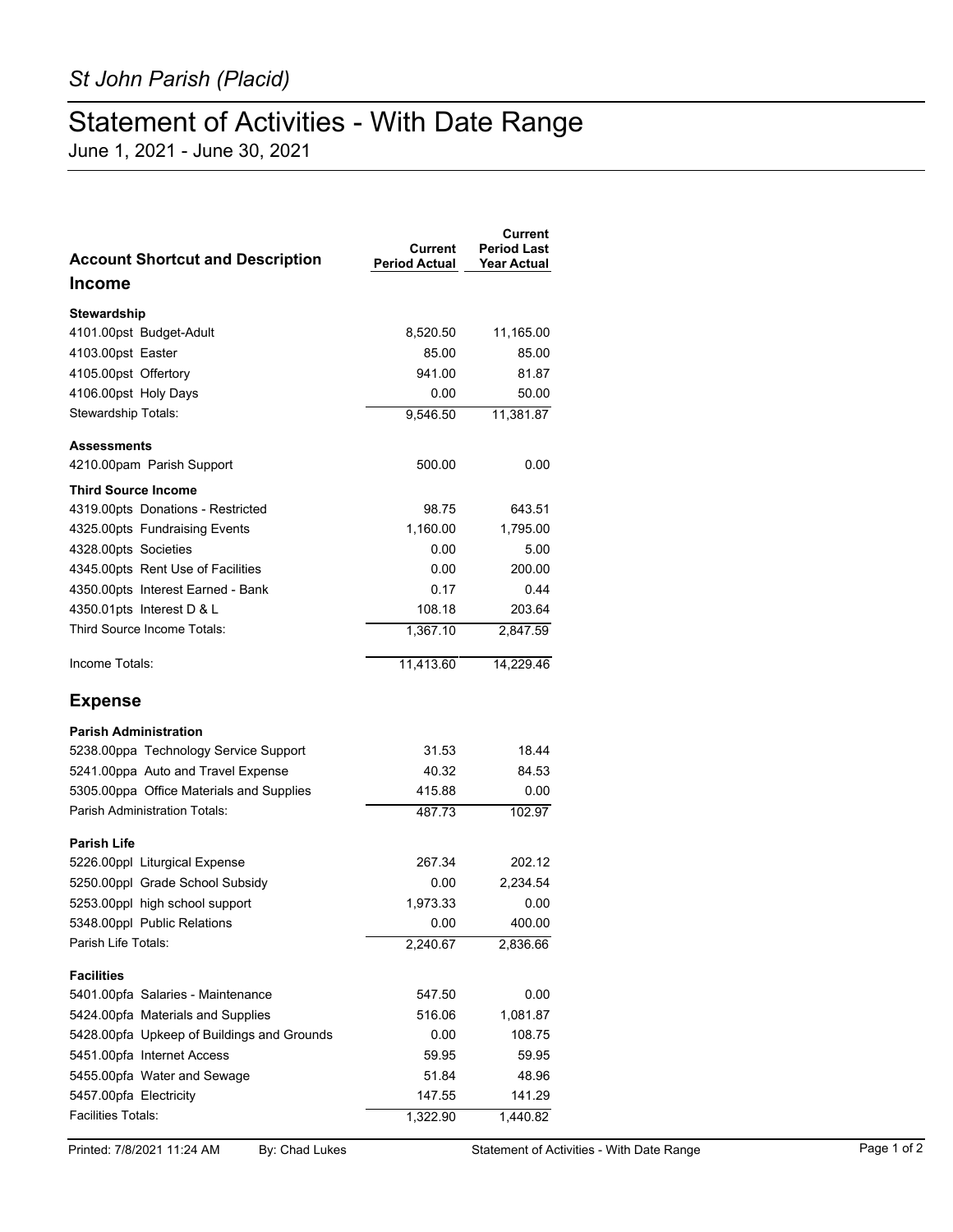## Statement of Activities - With Date Range

June 1, 2021 - June 30, 2021

| <b>Account Shortcut and Description</b>    | Current<br><b>Period Actual</b> | Current<br><b>Period Last</b><br><b>Year Actual</b> |
|--------------------------------------------|---------------------------------|-----------------------------------------------------|
| <b>Income</b>                              |                                 |                                                     |
| Stewardship                                |                                 |                                                     |
| 4101.00pst Budget-Adult                    | 8,520.50                        | 11,165.00                                           |
| 4103.00pst Easter                          | 85.00                           | 85.00                                               |
| 4105.00pst Offertory                       | 941.00                          | 81.87                                               |
| 4106.00pst Holy Days                       | 0.00                            | 50.00                                               |
| Stewardship Totals:                        | 9,546.50                        | 11,381.87                                           |
| <b>Assessments</b>                         |                                 |                                                     |
| 4210.00pam Parish Support                  | 500.00                          | 0.00                                                |
| <b>Third Source Income</b>                 |                                 |                                                     |
| 4319.00pts Donations - Restricted          | 98.75                           | 643.51                                              |
| 4325.00pts Fundraising Events              | 1,160.00                        | 1,795.00                                            |
| 4328.00pts Societies                       | 0.00                            | 5.00                                                |
| 4345.00pts Rent Use of Facilities          | 0.00                            | 200.00                                              |
| 4350.00pts Interest Earned - Bank          | 0.17                            | 0.44                                                |
| 4350.01pts Interest D & L                  | 108.18                          | 203.64                                              |
| Third Source Income Totals:                | 1,367.10                        | 2,847.59                                            |
| Income Totals:                             | 11,413.60                       | 14,229.46                                           |
| <b>Expense</b>                             |                                 |                                                     |
| <b>Parish Administration</b>               |                                 |                                                     |
| 5238.00ppa Technology Service Support      | 31.53                           | 18.44                                               |
| 5241.00ppa Auto and Travel Expense         | 40.32                           | 84.53                                               |
| 5305.00ppa Office Materials and Supplies   | 415.88                          | 0.00                                                |
| <b>Parish Administration Totals:</b>       | 487.73                          | 102.97                                              |
| <b>Parish Life</b>                         |                                 |                                                     |
| 5226.00ppl Liturgical Expense              | 267.34                          | 202.12                                              |
| 5250.00ppl Grade School Subsidy            | 0.00                            | 2,234.54                                            |
| 5253.00ppl high school support             | 1,973.33                        | 0.00                                                |
| 5348.00ppl Public Relations                | 0.00                            | 400.00                                              |
| Parish Life Totals:                        | 2,240.67                        | 2,836.66                                            |
| <b>Facilities</b>                          |                                 |                                                     |
| 5401.00pfa Salaries - Maintenance          | 547.50                          | 0.00                                                |
| 5424.00pfa Materials and Supplies          | 516.06                          | 1,081.87                                            |
| 5428.00pfa Upkeep of Buildings and Grounds | 0.00                            | 108.75                                              |
| 5451.00pfa Internet Access                 | 59.95                           | 59.95                                               |
| 5455.00pfa Water and Sewage                | 51.84                           | 48.96                                               |
| 5457.00pfa Electricity                     | 147.55                          | 141.29                                              |
| <b>Facilities Totals:</b>                  | 1,322.90                        | 1,440.82                                            |